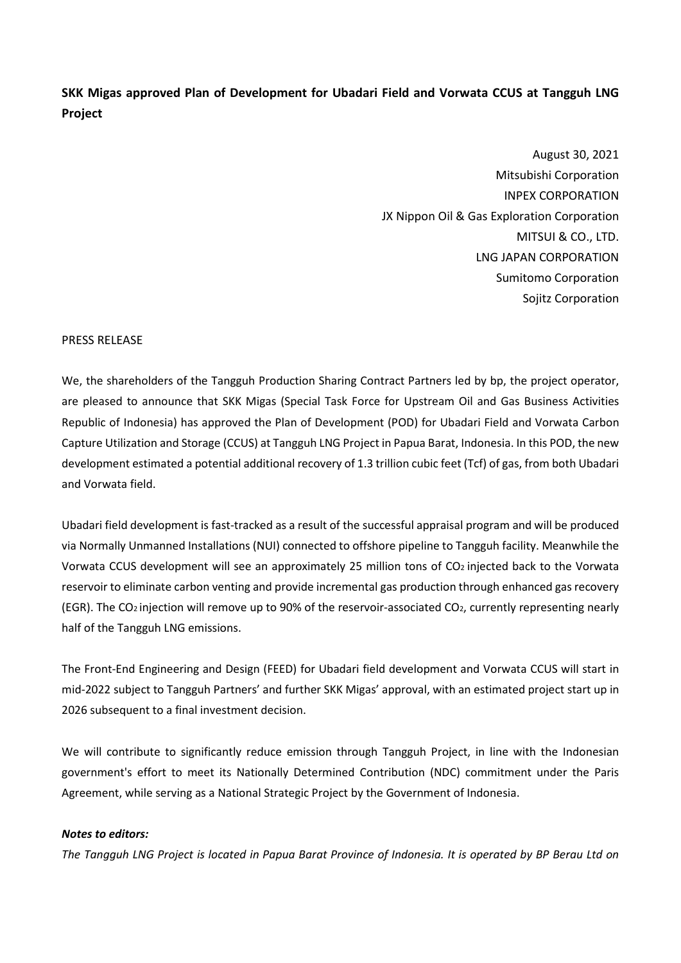## **SKK Migas approved Plan of Development for Ubadari Field and Vorwata CCUS at Tangguh LNG Project**

August 30, 2021 Mitsubishi Corporation INPEX CORPORATION JX Nippon Oil & Gas Exploration Corporation MITSUI & CO., LTD. LNG JAPAN CORPORATION Sumitomo Corporation Sojitz Corporation

## PRESS RELEASE

We, the shareholders of the Tangguh Production Sharing Contract Partners led by bp, the project operator, are pleased to announce that SKK Migas (Special Task Force for Upstream Oil and Gas Business Activities Republic of Indonesia) has approved the Plan of Development (POD) for Ubadari Field and Vorwata Carbon Capture Utilization and Storage (CCUS) at Tangguh LNG Project in Papua Barat, Indonesia. In this POD, the new development estimated a potential additional recovery of 1.3 trillion cubic feet (Tcf) of gas, from both Ubadari and Vorwata field.

Ubadari field development is fast-tracked as a result of the successful appraisal program and will be produced via Normally Unmanned Installations (NUI) connected to offshore pipeline to Tangguh facility. Meanwhile the Vorwata CCUS development will see an approximately 25 million tons of CO2 injected back to the Vorwata reservoir to eliminate carbon venting and provide incremental gas production through enhanced gas recovery (EGR). The CO2 injection will remove up to 90% of the reservoir-associated CO2, currently representing nearly half of the Tangguh LNG emissions.

The Front-End Engineering and Design (FEED) for Ubadari field development and Vorwata CCUS will start in mid-2022 subject to Tangguh Partners' and further SKK Migas' approval, with an estimated project start up in 2026 subsequent to a final investment decision.

We will contribute to significantly reduce emission through Tangguh Project, in line with the Indonesian government's effort to meet its Nationally Determined Contribution (NDC) commitment under the Paris Agreement, while serving as a National Strategic Project by the Government of Indonesia.

## *Notes to editors:*

*The Tangguh LNG Project is located in Papua Barat Province of Indonesia. It is operated by BP Berau Ltd on*